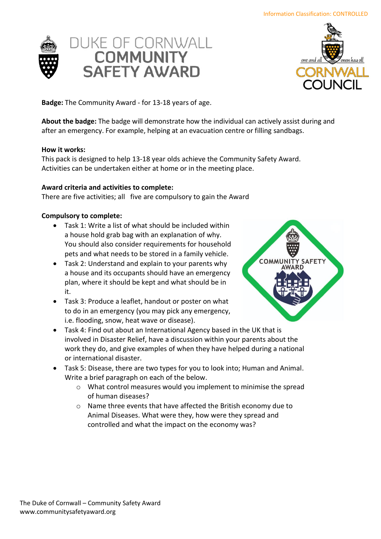



**Badge:** The Community Award - for 13-18 years of age.

**About the badge:** The badge will demonstrate how the individual can actively assist during and after an emergency. For example, helping at an evacuation centre or filling sandbags.

### **How it works:**

This pack is designed to help 13-18 year olds achieve the Community Safety Award. Activities can be undertaken either at home or in the meeting place.

# **Award criteria and activities to complete:**

There are five activities; all five are compulsory to gain the Award

# **Compulsory to complete:**

- Task 1: Write a list of what should be included within a house hold grab bag with an explanation of why. You should also consider requirements for household pets and what needs to be stored in a family vehicle.
- Task 2: Understand and explain to your parents why a house and its occupants should have an emergency plan, where it should be kept and what should be in it.
- Task 3: Produce a leaflet, handout or poster on what to do in an emergency (you may pick any emergency, i.e. flooding, snow, heat wave or disease).
- Task 4: Find out about an International Agency based in the UK that is involved in Disaster Relief, have a discussion within your parents about the work they do, and give examples of when they have helped during a national or international disaster.
- Task 5: Disease, there are two types for you to look into; Human and Animal. Write a brief paragraph on each of the below.
	- o What control measures would you implement to minimise the spread of human diseases?
	- o Name three events that have affected the British economy due to Animal Diseases. What were they, how were they spread and controlled and what the impact on the economy was?

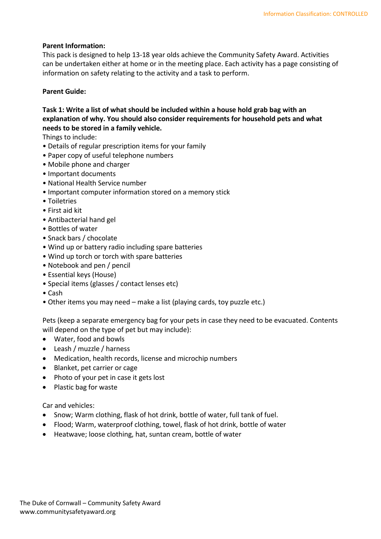### **Parent Information:**

This pack is designed to help 13-18 year olds achieve the Community Safety Award. Activities can be undertaken either at home or in the meeting place. Each activity has a page consisting of information on safety relating to the activity and a task to perform.

### **Parent Guide:**

# **Task 1: Write a list of what should be included within a house hold grab bag with an explanation of why. You should also consider requirements for household pets and what needs to be stored in a family vehicle.**

Things to include:

- Details of regular prescription items for your family
- Paper copy of useful telephone numbers
- Mobile phone and charger
- Important documents
- National Health Service number
- Important computer information stored on a memory stick
- Toiletries
- First aid kit
- Antibacterial hand gel
- Bottles of water
- Snack bars / chocolate
- Wind up or battery radio including spare batteries
- Wind up torch or torch with spare batteries
- Notebook and pen / pencil
- Essential keys (House)
- Special items (glasses / contact lenses etc)
- Cash
- Other items you may need make a list (playing cards, toy puzzle etc.)

Pets (keep a separate emergency bag for your pets in case they need to be evacuated. Contents will depend on the type of pet but may include):

- Water, food and bowls
- Leash / muzzle / harness
- Medication, health records, license and microchip numbers
- Blanket, pet carrier or cage
- Photo of your pet in case it gets lost
- Plastic bag for waste

Car and vehicles:

- Snow; Warm clothing, flask of hot drink, bottle of water, full tank of fuel.
- Flood; Warm, waterproof clothing, towel, flask of hot drink, bottle of water
- Heatwave; loose clothing, hat, suntan cream, bottle of water